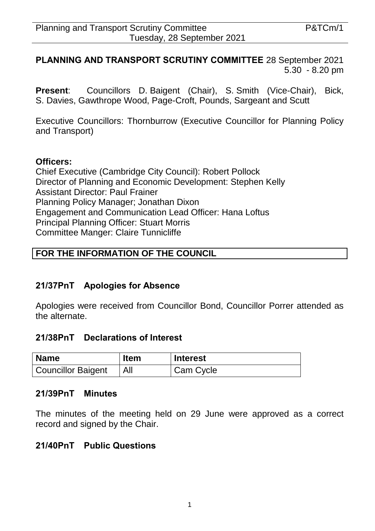### **PLANNING AND TRANSPORT SCRUTINY COMMITTEE** 28 September 2021 5.30 - 8.20 pm

**Present**: Councillors D. Baigent (Chair), S. Smith (Vice-Chair), Bick, S. Davies, Gawthrope Wood, Page-Croft, Pounds, Sargeant and Scutt

Executive Councillors: Thornburrow (Executive Councillor for Planning Policy and Transport)

#### **Officers:**

Chief Executive (Cambridge City Council): Robert Pollock Director of Planning and Economic Development: Stephen Kelly Assistant Director: Paul Frainer Planning Policy Manager; Jonathan Dixon Engagement and Communication Lead Officer: Hana Loftus Principal Planning Officer: Stuart Morris Committee Manger: Claire Tunnicliffe

### **FOR THE INFORMATION OF THE COUNCIL**

### **21/37PnT Apologies for Absence**

Apologies were received from Councillor Bond, Councillor Porrer attended as the alternate.

### **21/38PnT Declarations of Interest**

| <b>Name</b>               | <b>Item</b> | <b>Interest</b> |
|---------------------------|-------------|-----------------|
| <b>Councillor Baigent</b> |             | Cam Cycle       |

#### **21/39PnT Minutes**

The minutes of the meeting held on 29 June were approved as a correct record and signed by the Chair.

### **21/40PnT Public Questions**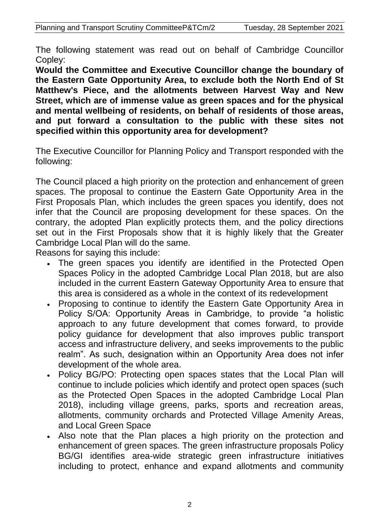The following statement was read out on behalf of Cambridge Councillor Copley:

**Would the Committee and Executive Councillor change the boundary of the Eastern Gate Opportunity Area, to exclude both the North End of St Matthew's Piece, and the allotments between Harvest Way and New Street, which are of immense value as green spaces and for the physical and mental wellbeing of residents, on behalf of residents of those areas, and put forward a consultation to the public with these sites not specified within this opportunity area for development?**

The Executive Councillor for Planning Policy and Transport responded with the following:

The Council placed a high priority on the protection and enhancement of green spaces. The proposal to continue the Eastern Gate Opportunity Area in the First Proposals Plan, which includes the green spaces you identify, does not infer that the Council are proposing development for these spaces. On the contrary, the adopted Plan explicitly protects them, and the policy directions set out in the First Proposals show that it is highly likely that the Greater Cambridge Local Plan will do the same.

Reasons for saying this include:

- The green spaces you identify are identified in the Protected Open Spaces Policy in the adopted Cambridge Local Plan 2018, but are also included in the current Eastern Gateway Opportunity Area to ensure that this area is considered as a whole in the context of its redevelopment
- Proposing to continue to identify the Eastern Gate Opportunity Area in Policy S/OA: Opportunity Areas in Cambridge, to provide "a holistic approach to any future development that comes forward, to provide policy guidance for development that also improves public transport access and infrastructure delivery, and seeks improvements to the public realm". As such, designation within an Opportunity Area does not infer development of the whole area.
- Policy BG/PO: Protecting open spaces states that the Local Plan will continue to include policies which identify and protect open spaces (such as the Protected Open Spaces in the adopted Cambridge Local Plan 2018), including village greens, parks, sports and recreation areas, allotments, community orchards and Protected Village Amenity Areas, and Local Green Space
- Also note that the Plan places a high priority on the protection and enhancement of green spaces. The green infrastructure proposals Policy BG/GI identifies area-wide strategic green infrastructure initiatives including to protect, enhance and expand allotments and community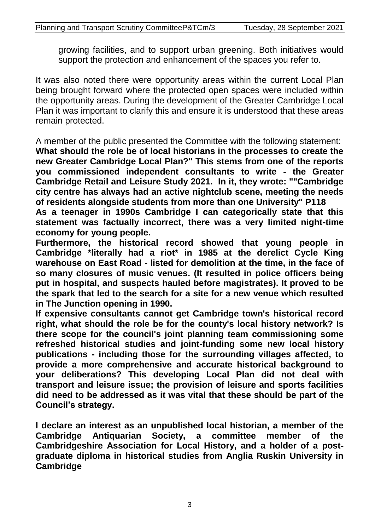growing facilities, and to support urban greening. Both initiatives would support the protection and enhancement of the spaces you refer to.

It was also noted there were opportunity areas within the current Local Plan being brought forward where the protected open spaces were included within the opportunity areas. During the development of the Greater Cambridge Local Plan it was important to clarify this and ensure it is understood that these areas remain protected.

A member of the public presented the Committee with the following statement: **What should the role be of local historians in the processes to create the new Greater Cambridge Local Plan?" This stems from one of the reports you commissioned independent consultants to write - the Greater Cambridge Retail and Leisure Study 2021. In it, they wrote: ""Cambridge city centre has always had an active nightclub scene, meeting the needs of residents alongside students from more than one University" P118**

**As a teenager in 1990s Cambridge I can categorically state that this statement was factually incorrect, there was a very limited night-time economy for young people.** 

**Furthermore, the historical record showed that young people in Cambridge \*literally had a riot\* in 1985 at the derelict Cycle King warehouse on East Road - listed for demolition at the time, in the face of so many closures of music venues. (It resulted in police officers being put in hospital, and suspects hauled before magistrates). It proved to be the spark that led to the search for a site for a new venue which resulted in The Junction opening in 1990.**

**If expensive consultants cannot get Cambridge town's historical record right, what should the role be for the county's local history network? Is there scope for the council's joint planning team commissioning some refreshed historical studies and joint-funding some new local history publications - including those for the surrounding villages affected, to provide a more comprehensive and accurate historical background to your deliberations? This developing Local Plan did not deal with transport and leisure issue; the provision of leisure and sports facilities did need to be addressed as it was vital that these should be part of the Council's strategy.** 

**I declare an interest as an unpublished local historian, a member of the Cambridge Antiquarian Society, a committee member of the Cambridgeshire Association for Local History, and a holder of a postgraduate diploma in historical studies from Anglia Ruskin University in Cambridge**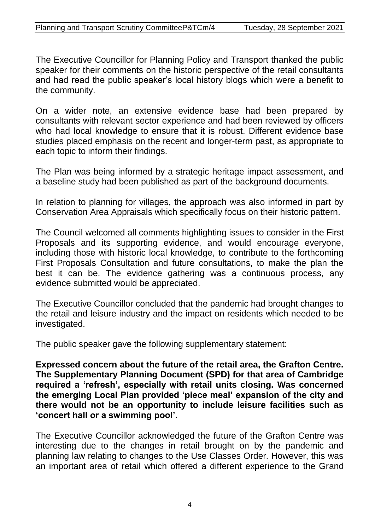The Executive Councillor for Planning Policy and Transport thanked the public speaker for their comments on the historic perspective of the retail consultants and had read the public speaker's local history blogs which were a benefit to the community.

On a wider note, an extensive evidence base had been prepared by consultants with relevant sector experience and had been reviewed by officers who had local knowledge to ensure that it is robust. Different evidence base studies placed emphasis on the recent and longer-term past, as appropriate to each topic to inform their findings.

The Plan was being informed by a strategic heritage impact assessment, and a baseline study had been published as part of the background documents.

In relation to planning for villages, the approach was also informed in part by Conservation Area Appraisals which specifically focus on their historic pattern.

The Council welcomed all comments highlighting issues to consider in the First Proposals and its supporting evidence, and would encourage everyone, including those with historic local knowledge, to contribute to the forthcoming First Proposals Consultation and future consultations, to make the plan the best it can be. The evidence gathering was a continuous process, any evidence submitted would be appreciated.

The Executive Councillor concluded that the pandemic had brought changes to the retail and leisure industry and the impact on residents which needed to be investigated.

The public speaker gave the following supplementary statement:

**Expressed concern about the future of the retail area, the Grafton Centre. The Supplementary Planning Document (SPD) for that area of Cambridge required a 'refresh', especially with retail units closing. Was concerned the emerging Local Plan provided 'piece meal' expansion of the city and there would not be an opportunity to include leisure facilities such as 'concert hall or a swimming pool'.** 

The Executive Councillor acknowledged the future of the Grafton Centre was interesting due to the changes in retail brought on by the pandemic and planning law relating to changes to the Use Classes Order. However, this was an important area of retail which offered a different experience to the Grand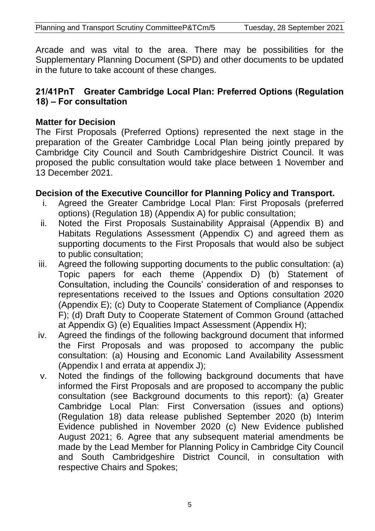Arcade and was vital to the area. There may be possibilities for the Supplementary Planning Document (SPD) and other documents to be updated in the future to take account of these changes.

## **21/41PnT Greater Cambridge Local Plan: Preferred Options (Regulation 18) – For consultation**

## **Matter for Decision**

The First Proposals (Preferred Options) represented the next stage in the preparation of the Greater Cambridge Local Plan being jointly prepared by Cambridge City Council and South Cambridgeshire District Council. It was proposed the public consultation would take place between 1 November and 13 December 2021.

## **Decision of the Executive Councillor for Planning Policy and Transport.**

- i. Agreed the Greater Cambridge Local Plan: First Proposals (preferred options) (Regulation 18) (Appendix A) for public consultation;
- ii. Noted the First Proposals Sustainability Appraisal (Appendix B) and Habitats Regulations Assessment (Appendix C) and agreed them as supporting documents to the First Proposals that would also be subject to public consultation;
- iii. Agreed the following supporting documents to the public consultation: (a) Topic papers for each theme (Appendix D) (b) Statement of Consultation, including the Councils' consideration of and responses to representations received to the Issues and Options consultation 2020 (Appendix E); (c) Duty to Cooperate Statement of Compliance (Appendix F); (d) Draft Duty to Cooperate Statement of Common Ground (attached at Appendix G) (e) Equalities Impact Assessment (Appendix H);
- iv. Agreed the findings of the following background document that informed the First Proposals and was proposed to accompany the public consultation: (a) Housing and Economic Land Availability Assessment (Appendix I and errata at appendix J);
- v. Noted the findings of the following background documents that have informed the First Proposals and are proposed to accompany the public consultation (see Background documents to this report): (a) Greater Cambridge Local Plan: First Conversation (issues and options) (Regulation 18) data release published September 2020 (b) Interim Evidence published in November 2020 (c) New Evidence published August 2021; 6. Agree that any subsequent material amendments be made by the Lead Member for Planning Policy in Cambridge City Council and South Cambridgeshire District Council, in consultation with respective Chairs and Spokes;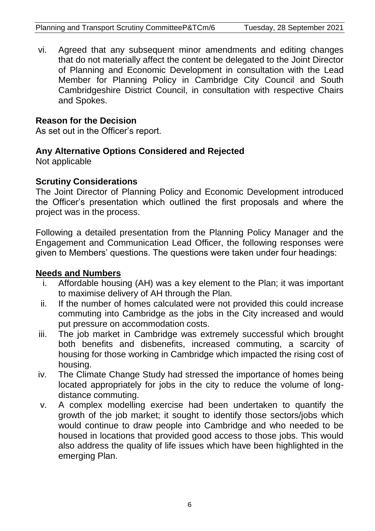vi. Agreed that any subsequent minor amendments and editing changes that do not materially affect the content be delegated to the Joint Director of Planning and Economic Development in consultation with the Lead Member for Planning Policy in Cambridge City Council and South Cambridgeshire District Council, in consultation with respective Chairs and Spokes.

## **Reason for the Decision**

As set out in the Officer's report.

# **Any Alternative Options Considered and Rejected**

Not applicable

# **Scrutiny Considerations**

The Joint Director of Planning Policy and Economic Development introduced the Officer's presentation which outlined the first proposals and where the project was in the process.

Following a detailed presentation from the Planning Policy Manager and the Engagement and Communication Lead Officer, the following responses were given to Members' questions. The questions were taken under four headings:

# **Needs and Numbers**

- i. Affordable housing (AH) was a key element to the Plan; it was important to maximise delivery of AH through the Plan.
- ii. If the number of homes calculated were not provided this could increase commuting into Cambridge as the jobs in the City increased and would put pressure on accommodation costs.
- iii. The job market in Cambridge was extremely successful which brought both benefits and disbenefits, increased commuting, a scarcity of housing for those working in Cambridge which impacted the rising cost of housing.
- iv. The Climate Change Study had stressed the importance of homes being located appropriately for jobs in the city to reduce the volume of longdistance commuting.
- v. A complex modelling exercise had been undertaken to quantify the growth of the job market; it sought to identify those sectors/jobs which would continue to draw people into Cambridge and who needed to be housed in locations that provided good access to those jobs. This would also address the quality of life issues which have been highlighted in the emerging Plan.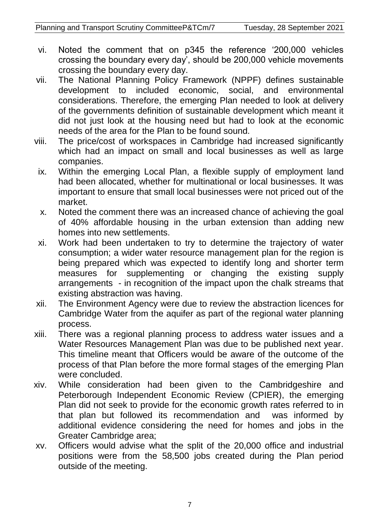- vi. Noted the comment that on p345 the reference '200,000 vehicles crossing the boundary every day', should be 200,000 vehicle movements crossing the boundary every day.
- vii. The National Planning Policy Framework (NPPF) defines sustainable development to included economic, social, and environmental considerations. Therefore, the emerging Plan needed to look at delivery of the governments definition of sustainable development which meant it did not just look at the housing need but had to look at the economic needs of the area for the Plan to be found sound.
- viii. The price/cost of workspaces in Cambridge had increased significantly which had an impact on small and local businesses as well as large companies.
- ix. Within the emerging Local Plan, a flexible supply of employment land had been allocated, whether for multinational or local businesses. It was important to ensure that small local businesses were not priced out of the market.
- x. Noted the comment there was an increased chance of achieving the goal of 40% affordable housing in the urban extension than adding new homes into new settlements.
- xi. Work had been undertaken to try to determine the trajectory of water consumption; a wider water resource management plan for the region is being prepared which was expected to identify long and shorter term measures for supplementing or changing the existing supply arrangements - in recognition of the impact upon the chalk streams that existing abstraction was having.
- xii. The Environment Agency were due to review the abstraction licences for Cambridge Water from the aquifer as part of the regional water planning process.
- xiii. There was a regional planning process to address water issues and a Water Resources Management Plan was due to be published next year. This timeline meant that Officers would be aware of the outcome of the process of that Plan before the more formal stages of the emerging Plan were concluded.
- xiv. While consideration had been given to the Cambridgeshire and Peterborough Independent Economic Review (CPIER), the emerging Plan did not seek to provide for the economic growth rates referred to in that plan but followed its recommendation and was informed by additional evidence considering the need for homes and jobs in the Greater Cambridge area;
- xv. Officers would advise what the split of the 20,000 office and industrial positions were from the 58,500 jobs created during the Plan period outside of the meeting.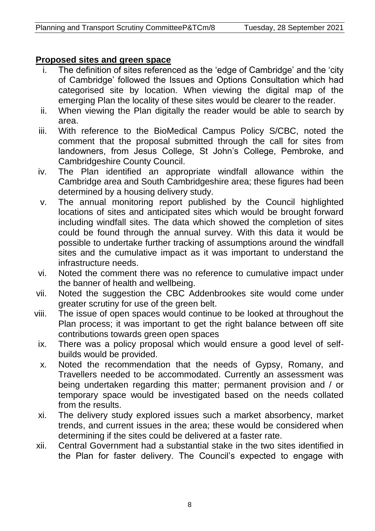# **Proposed sites and green space**

- The definition of sites referenced as the 'edge of Cambridge' and the 'city of Cambridge' followed the Issues and Options Consultation which had categorised site by location. When viewing the digital map of the emerging Plan the locality of these sites would be clearer to the reader.
- ii. When viewing the Plan digitally the reader would be able to search by area.
- iii. With reference to the BioMedical Campus Policy S/CBC, noted the comment that the proposal submitted through the call for sites from landowners, from Jesus College, St John's College, Pembroke, and Cambridgeshire County Council.
- iv. The Plan identified an appropriate windfall allowance within the Cambridge area and South Cambridgeshire area; these figures had been determined by a housing delivery study.
- v. The annual monitoring report published by the Council highlighted locations of sites and anticipated sites which would be brought forward including windfall sites. The data which showed the completion of sites could be found through the annual survey. With this data it would be possible to undertake further tracking of assumptions around the windfall sites and the cumulative impact as it was important to understand the infrastructure needs.
- vi. Noted the comment there was no reference to cumulative impact under the banner of health and wellbeing.
- vii. Noted the suggestion the CBC Addenbrookes site would come under greater scrutiny for use of the green belt.
- viii. The issue of open spaces would continue to be looked at throughout the Plan process; it was important to get the right balance between off site contributions towards green open spaces
- ix. There was a policy proposal which would ensure a good level of selfbuilds would be provided.
- x. Noted the recommendation that the needs of Gypsy, Romany, and Travellers needed to be accommodated. Currently an assessment was being undertaken regarding this matter; permanent provision and / or temporary space would be investigated based on the needs collated from the results.
- xi. The delivery study explored issues such a market absorbency, market trends, and current issues in the area; these would be considered when determining if the sites could be delivered at a faster rate.
- xii. Central Government had a substantial stake in the two sites identified in the Plan for faster delivery. The Council's expected to engage with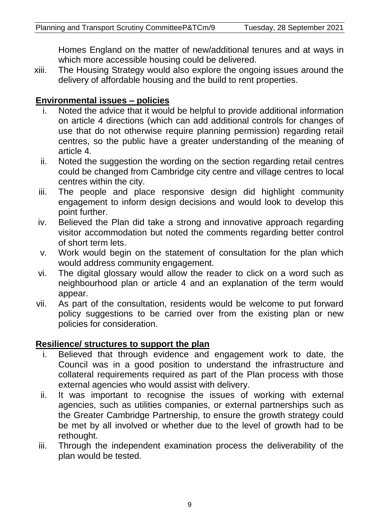Homes England on the matter of new/additional tenures and at ways in which more accessible housing could be delivered.

xiii. The Housing Strategy would also explore the ongoing issues around the delivery of affordable housing and the build to rent properties.

# **Environmental issues – policies**

- i. Noted the advice that it would be helpful to provide additional information on article 4 directions (which can add additional controls for changes of use that do not otherwise require planning permission) regarding retail centres, so the public have a greater understanding of the meaning of article 4.
- ii. Noted the suggestion the wording on the section regarding retail centres could be changed from Cambridge city centre and village centres to local centres within the city.
- iii. The people and place responsive design did highlight community engagement to inform design decisions and would look to develop this point further.
- iv. Believed the Plan did take a strong and innovative approach regarding visitor accommodation but noted the comments regarding better control of short term lets.
- v. Work would begin on the statement of consultation for the plan which would address community engagement.
- vi. The digital glossary would allow the reader to click on a word such as neighbourhood plan or article 4 and an explanation of the term would appear.
- vii. As part of the consultation, residents would be welcome to put forward policy suggestions to be carried over from the existing plan or new policies for consideration.

# **Resilience/ structures to support the plan**

- i. Believed that through evidence and engagement work to date, the Council was in a good position to understand the infrastructure and collateral requirements required as part of the Plan process with those external agencies who would assist with delivery.
- ii. It was important to recognise the issues of working with external agencies, such as utilities companies, or external partnerships such as the Greater Cambridge Partnership, to ensure the growth strategy could be met by all involved or whether due to the level of growth had to be rethought.
- iii. Through the independent examination process the deliverability of the plan would be tested.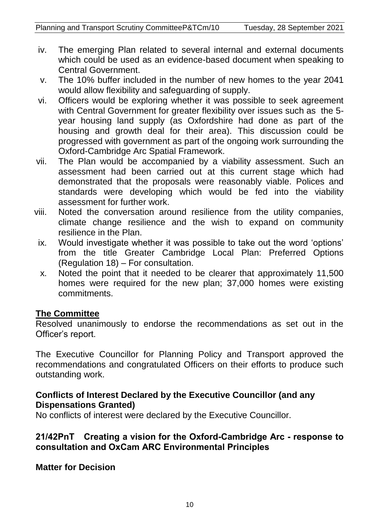- iv. The emerging Plan related to several internal and external documents which could be used as an evidence-based document when speaking to Central Government.
- v. The 10% buffer included in the number of new homes to the year 2041 would allow flexibility and safeguarding of supply.
- vi. Officers would be exploring whether it was possible to seek agreement with Central Government for greater flexibility over issues such as the 5year housing land supply (as Oxfordshire had done as part of the housing and growth deal for their area). This discussion could be progressed with government as part of the ongoing work surrounding the Oxford-Cambridge Arc Spatial Framework.
- vii. The Plan would be accompanied by a viability assessment. Such an assessment had been carried out at this current stage which had demonstrated that the proposals were reasonably viable. Polices and standards were developing which would be fed into the viability assessment for further work.
- viii. Noted the conversation around resilience from the utility companies, climate change resilience and the wish to expand on community resilience in the Plan.
	- ix. Would investigate whether it was possible to take out the word 'options' from the title Greater Cambridge Local Plan: Preferred Options (Regulation 18) – For consultation.
	- x. Noted the point that it needed to be clearer that approximately 11,500 homes were required for the new plan; 37,000 homes were existing commitments.

## **The Committee**

Resolved unanimously to endorse the recommendations as set out in the Officer's report.

The Executive Councillor for Planning Policy and Transport approved the recommendations and congratulated Officers on their efforts to produce such outstanding work.

### **Conflicts of Interest Declared by the Executive Councillor (and any Dispensations Granted)**

No conflicts of interest were declared by the Executive Councillor.

## **21/42PnT Creating a vision for the Oxford-Cambridge Arc - response to consultation and OxCam ARC Environmental Principles**

**Matter for Decision**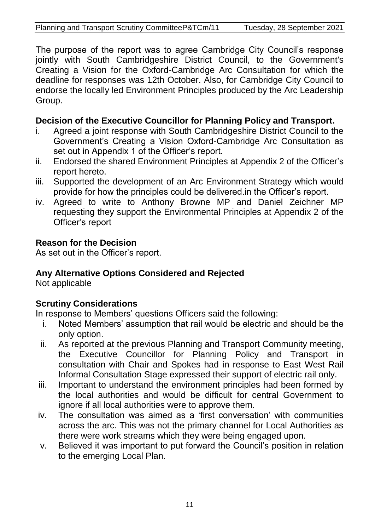The purpose of the report was to agree Cambridge City Council's response jointly with South Cambridgeshire District Council, to the Government's Creating a Vision for the Oxford-Cambridge Arc Consultation for which the deadline for responses was 12th October. Also, for Cambridge City Council to endorse the locally led Environment Principles produced by the Arc Leadership Group.

# **Decision of the Executive Councillor for Planning Policy and Transport.**

- i. Agreed a joint response with South Cambridgeshire District Council to the Government's Creating a Vision Oxford-Cambridge Arc Consultation as set out in Appendix 1 of the Officer's report.
- ii. Endorsed the shared Environment Principles at Appendix 2 of the Officer's report hereto.
- iii. Supported the development of an Arc Environment Strategy which would provide for how the principles could be delivered.in the Officer's report.
- iv. Agreed to write to Anthony Browne MP and Daniel Zeichner MP requesting they support the Environmental Principles at Appendix 2 of the Officer's report

# **Reason for the Decision**

As set out in the Officer's report.

# **Any Alternative Options Considered and Rejected**

Not applicable

# **Scrutiny Considerations**

In response to Members' questions Officers said the following:

- i. Noted Members' assumption that rail would be electric and should be the only option.
- ii. As reported at the previous Planning and Transport Community meeting, the Executive Councillor for Planning Policy and Transport in consultation with Chair and Spokes had in response to East West Rail Informal Consultation Stage expressed their support of electric rail only.
- iii. Important to understand the environment principles had been formed by the local authorities and would be difficult for central Government to ignore if all local authorities were to approve them.
- iv. The consultation was aimed as a 'first conversation' with communities across the arc. This was not the primary channel for Local Authorities as there were work streams which they were being engaged upon.
- v. Believed it was important to put forward the Council's position in relation to the emerging Local Plan.